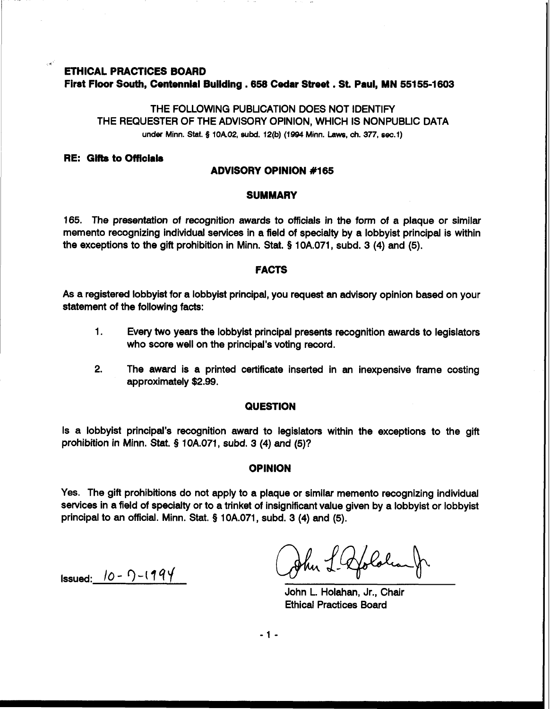# **ETHICAL PRACTICES BOARD First Floor South, Centennial Building .658 Cedar Street** . **St. Paul, MN 55155-1 603**

THE FOLLOWING PUBLICATION DOES NOT IDENTIFY THE REQUESTER OF THE ADVISORY OPINION, WHICH IS NONPUBLIC DATA under **Minn.** Stat. § **10A.02, SUM. 12(b) (1994 Minn. Laws, ch. 377, sec.1)** 

### **RE: Gifts to Officials**

## **ADVISORY OPINION #I65**

#### **SUMMARY**

165. The presentation of recognition awards to officials in the form of a plaque or similar memento recognizing individual services in a field of specialty by a lobbyist principal is within the exceptions to the gift prohibition in Minn. Stat. § 10A.071, subd. 3 **(4)** and **(5).** 

### **FACTS**

As a registered lobbyist for a lobbyist principal, you request an advisory opinion based on your statement of the following facts:

- 1. Every two years the lobbyist principal presents recognition awards to legislators who score well on the principal's voting record.
- **2.** The award is a printed certificate inserted in an inexpensive frame costing approximately \$2.99.

#### **QUESTION**

Is a lobbyist principal's recognition award to legislators within the exceptions to the gift prohibition in Minn. Stat. **5** 10A.071, subd. 3 (4) and **(5)?** 

## **OPINION**

Yes. The gift prohibitions do not apply to a plaque or similar memento recognizing individual services in a field of specialty or to a trinket of insignificant value given by a lobbyist or lobbyist principal to an official. Minn. Stat. § 10A.071, subd. 3 **(4)** and **(5).** 

Issued: 10- *3-17qy* 

John L. Holahan, Jr., Chair Ethical Practices Board